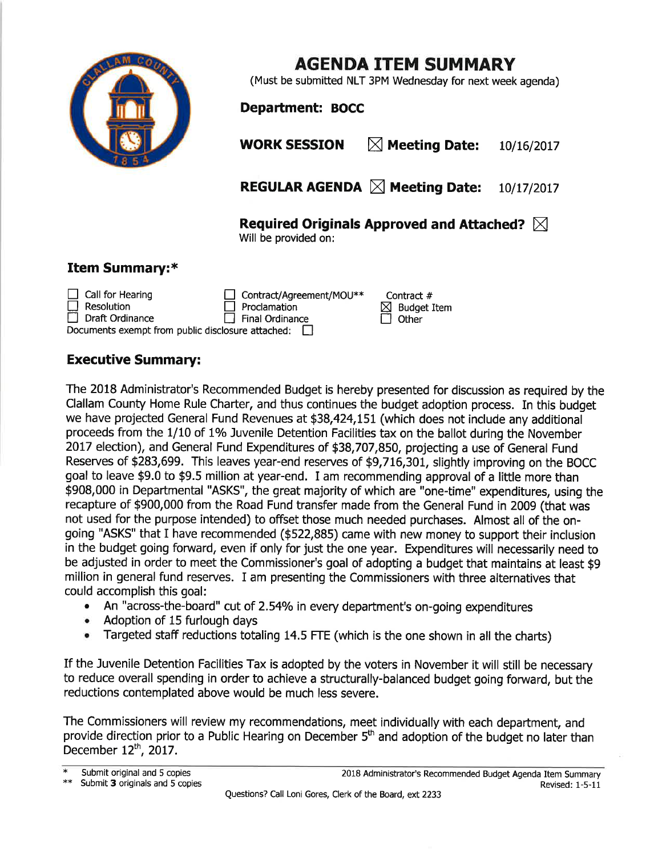

## AGENDA ITEM SUMMARY

(Must be submitted NLT 3PM Wednesday for next week agenda)

Department: BOCC

WORK SESSION  $\boxtimes$  Meeting Date: 10/16/2017

REGULAR AGENDA  $\boxtimes$  Meeting Date: 10/17/2017

Required Originals Approved and Attached?  $\boxtimes$ 

Contract #  $\boxtimes$  Budget Item<br> $\Box$  Other

Will be provided on:

## Item Summary:\*

| $\Box$ Call for Hearing                                  | Contract/Agreement/MOU** |
|----------------------------------------------------------|--------------------------|
| $\Box$ Resolution                                        | $\Box$ Proclamation      |
| $\Box$ Draft Ordinance                                   | $\Box$ Final Ordinance   |
| Documents exempt from public disclosure attached: $\Box$ |                          |

## Executive Summary:

The 2018 Administrator's Recommended Budget is hereby presented for discussion as required by the Clallam County Home Rule Charter, and thus continues the budget adoption process. In this budget we have projected General Fund Revenues at \$38,424,L51 (which does not include any additional proceeds from the 1/10 of 1% Juvenile Detention Facilities tax on the ballot during the November 2017 election), and General Fund Expenditures of \$38,707,850, projecting a use of General Fund Reserues of \$283,699. This leaves year-end reserues of \$9,7L6,301, slightly improving on the BOCC goal to leave \$9.0 to \$9.5 million at year-end, I am recommending approval of a little more than \$908,000 in Departmental "ASKS", the great majority of which are "one-time" expenditures, using the recapture of \$900,000 from the Road Fund transfer made from the General Fund in 2009 (that was not used for the purpose intended) to offset those much needed purchases. Almost all of the ongoing "ASKS" that I have recommended (\$522,885) came with new money to support their inclusion in the budget going forward, even if only for just the one year. Expenditures will necessarily need to be adjusted in order to meet the Commissioner's goal of adopting a budget that maintains at least \$9 million in general fund reserves. I am presenting the Commissioners with three alternatives that could accomplish this goal:

- An "across-the-board" cut of 2.54% in every department's on-going expenditures
- . Adoption of 15 furlough days
- . Targeted staff reductions totaling 14.5 FTE (which is the one shown in all the charts)

If the Juvenile Detention Facilities Tax is adopted by the voters in November it will still be necessary to reduce overall spending in order to achieve a structurally-balanced budget going forward, but the reductions contemplated above would be much less severe.

The Commissioners will review my recommendations, meet individually with each department, and provide direction prior to a Public Hearing on December 5<sup>th</sup> and adoption of the budget no later than December  $12^{th}$ , 2017.